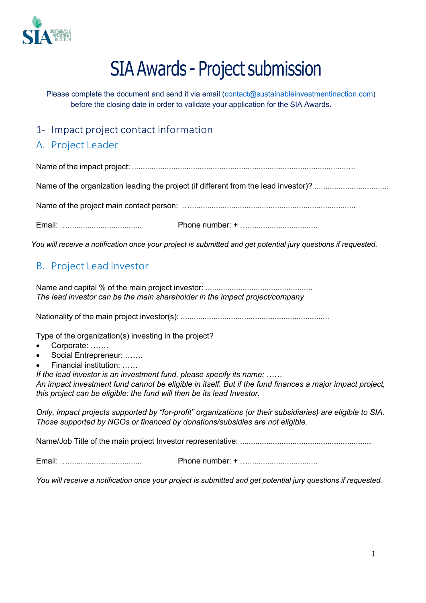

# SIA Awards - Project submission

Please complete the document and send it via email (contact@sustainableinvestmentinaction.com) before the closing date in order to validate your application for the SIA Awards.

### 1- Impact project contact information

## A. Project Leader

Name of the impact project: ...................................................................................................…

Name of the organization leading the project (if different from the lead investor)? ..................................

Name of the project main contact person: …............................................................................

Email: ….................................. Phone number: + …................................

You will receive a notification once your project is submitted and get potential jury questions if requested.

#### B. Project Lead Investor

Name and capital % of the main project investor: ................................................. *The lead investor can be the main shareholder in the impact project/company*

Nationality of the main project investor(s): ....................................................................

Type of the organization(s) investing in the project?

- Corporate: .......
- Social Entrepreneur: …….
- Financial institution: ……

*If the lead investor is an investment fund, please specify its name: ……*

*An impact investment fund cannot be eligible in itself. But if the fund finances a major impact project, this project can be eligible; the fund will then be its lead Investor.*

*Only, impact projects supported by "for-profit" organizations (or their subsidiaries) are eligible to SIA. Those supported by NGOs or financed by donations/subsidies are not eligible.*

Name/Job Title of the main project Investor representative: ............................................................

Email: ….................................. Phone number: + …................................

You will receive a notification once your project is submitted and get potential jury questions if requested.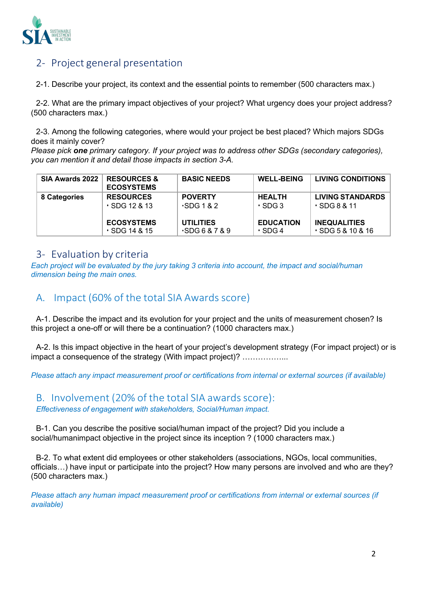

## 2- Project general presentation

2-1. Describe your project, its context and the essential points to remember (500 characters max.)

2-2. What are the primary impact objectives of your project? What urgency does your project address? (500 characters max.)

2-3. Among the following categories, where would your project be best placed? Which majors SDGs does it mainly cover?

*Please pick one primary category. If your project was to address other SDGs (secondary categories), you can mention it and detail those impacts in section 3-A.*

| SIA Awards 2022 | <b>RESOURCES &amp;</b><br><b>ECOSYSTEMS</b> | <b>BASIC NEEDS</b>    | <b>WELL-BEING</b> | <b>LIVING CONDITIONS</b>   |
|-----------------|---------------------------------------------|-----------------------|-------------------|----------------------------|
| 8 Categories    | <b>RESOURCES</b>                            | <b>POVERTY</b>        | <b>HEALTH</b>     | <b>LIVING STANDARDS</b>    |
|                 | $\cdot$ SDG 12 & 13                         | $\cdot$ SDG 1 & 2     | $\cdot$ SDG 3     | $\cdot$ SDG 8 & 11         |
|                 | <b>ECOSYSTEMS</b>                           | <b>UTILITIES</b>      | <b>EDUCATION</b>  | <b>INEQUALITIES</b>        |
|                 | $\cdot$ SDG 14 & 15                         | $\cdot$ SDG 6 & 7 & 9 | $\cdot$ SDG 4     | <b>⋅SDG5&amp;10&amp;16</b> |

#### 3- Evaluation by criteria

*Each project will be evaluated by the jury taking 3 criteria into account, the impact and social/human dimension being the main ones.*

## A. Impact (60% of the total SIA Awards score)

A-1. Describe the impact and its evolution for your project and the units of measurement chosen? Is this project a one-off or will there be a continuation? (1000 characters max.)

A-2. Is this impact objective in the heart of your project's development strategy (For impact project) or is impact a consequence of the strategy (With impact project)? ……………...

*Please attach any impact measurement proof or certifications from internal or external sources (if available)*

B. Involvement (20% of the total SIA awards score): *Effectiveness of engagement with stakeholders, Social/Human impact.*

B-1. Can you describe the positive social/human impact of the project? Did you include a social/humanimpact objective in the project since its inception ? (1000 characters max.)

B-2. To what extent did employees or other stakeholders (associations, NGOs, local communities, officials…) have input or participate into the project? How many persons are involved and who are they? (500 characters max.)

*Please attach any human impact measurement proof or certifications from internal or external sources (if available)*